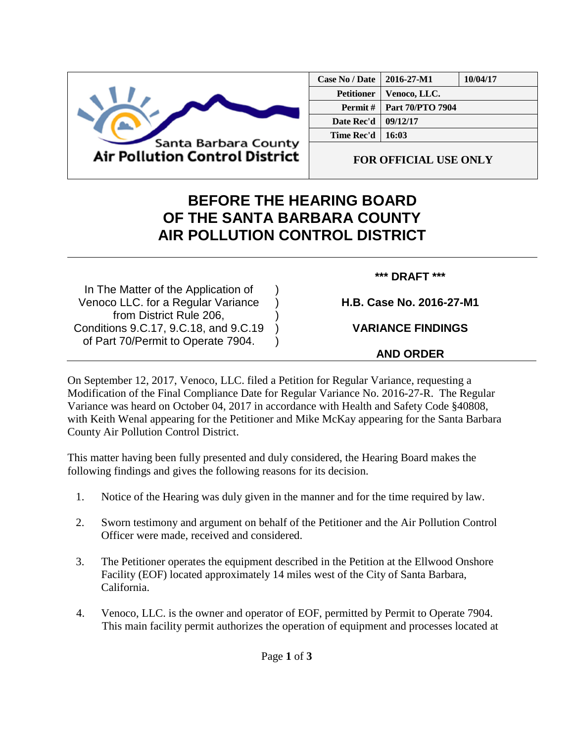

| Case No / Date    | 2016-27-M1              | 10/04/17 |
|-------------------|-------------------------|----------|
| <b>Petitioner</b> | Venoco, LLC.            |          |
| Permit#           | <b>Part 70/PTO 7904</b> |          |
| Date Rec'd        | 09/12/17                |          |
| Time Rec'd        | -16:03                  |          |
|                   |                         |          |

**FOR OFFICIAL USE ONLY**

## **BEFORE THE HEARING BOARD OF THE SANTA BARBARA COUNTY AIR POLLUTION CONTROL DISTRICT**

) ) ) ) )

In The Matter of the Application of Venoco LLC. for a Regular Variance from District Rule 206, Conditions 9.C.17, 9.C.18, and 9.C.19 of Part 70/Permit to Operate 7904.

## **\*\*\* DRAFT \*\*\***

**H.B. Case No. 2016-27-M1**

**VARIANCE FINDINGS**

**AND ORDER**

On September 12, 2017, Venoco, LLC. filed a Petition for Regular Variance, requesting a Modification of the Final Compliance Date for Regular Variance No. 2016-27-R. The Regular Variance was heard on October 04, 2017 in accordance with Health and Safety Code §40808, with Keith Wenal appearing for the Petitioner and Mike McKay appearing for the Santa Barbara County Air Pollution Control District.

This matter having been fully presented and duly considered, the Hearing Board makes the following findings and gives the following reasons for its decision.

- 1. Notice of the Hearing was duly given in the manner and for the time required by law.
- 2. Sworn testimony and argument on behalf of the Petitioner and the Air Pollution Control Officer were made, received and considered.
- 3. The Petitioner operates the equipment described in the Petition at the Ellwood Onshore Facility (EOF) located approximately 14 miles west of the City of Santa Barbara, California.
- 4. Venoco, LLC. is the owner and operator of EOF, permitted by Permit to Operate 7904. This main facility permit authorizes the operation of equipment and processes located at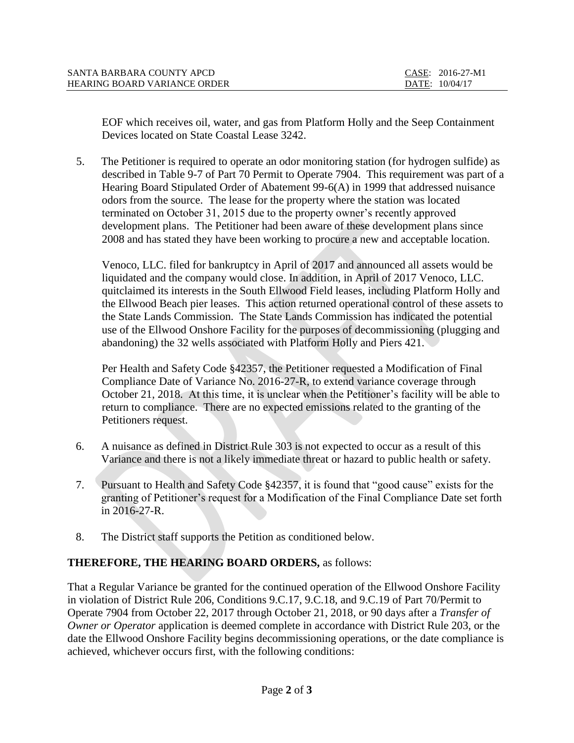| SANTA BARBARA COUNTY APCD           | CASE: 2016-27-M1 |
|-------------------------------------|------------------|
| <b>HEARING BOARD VARIANCE ORDER</b> | DATE: 10/04/17   |

EOF which receives oil, water, and gas from Platform Holly and the Seep Containment Devices located on State Coastal Lease 3242.

5. The Petitioner is required to operate an odor monitoring station (for hydrogen sulfide) as described in Table 9-7 of Part 70 Permit to Operate 7904. This requirement was part of a Hearing Board Stipulated Order of Abatement 99-6(A) in 1999 that addressed nuisance odors from the source. The lease for the property where the station was located terminated on October 31, 2015 due to the property owner's recently approved development plans. The Petitioner had been aware of these development plans since 2008 and has stated they have been working to procure a new and acceptable location.

Venoco, LLC. filed for bankruptcy in April of 2017 and announced all assets would be liquidated and the company would close. In addition, in April of 2017 Venoco, LLC. quitclaimed its interests in the South Ellwood Field leases, including Platform Holly and the Ellwood Beach pier leases. This action returned operational control of these assets to the State Lands Commission. The State Lands Commission has indicated the potential use of the Ellwood Onshore Facility for the purposes of decommissioning (plugging and abandoning) the 32 wells associated with Platform Holly and Piers 421.

Per Health and Safety Code §42357, the Petitioner requested a Modification of Final Compliance Date of Variance No. 2016-27-R, to extend variance coverage through October 21, 2018. At this time, it is unclear when the Petitioner's facility will be able to return to compliance. There are no expected emissions related to the granting of the Petitioners request.

- 6. A nuisance as defined in District Rule 303 is not expected to occur as a result of this Variance and there is not a likely immediate threat or hazard to public health or safety.
- 7. Pursuant to Health and Safety Code §42357, it is found that "good cause" exists for the granting of Petitioner's request for a Modification of the Final Compliance Date set forth in 2016-27-R.
- 8. The District staff supports the Petition as conditioned below.

## **THEREFORE, THE HEARING BOARD ORDERS,** as follows:

That a Regular Variance be granted for the continued operation of the Ellwood Onshore Facility in violation of District Rule 206, Conditions 9.C.17, 9.C.18, and 9.C.19 of Part 70/Permit to Operate 7904 from October 22, 2017 through October 21, 2018, or 90 days after a *Transfer of Owner or Operator* application is deemed complete in accordance with District Rule 203, or the date the Ellwood Onshore Facility begins decommissioning operations, or the date compliance is achieved, whichever occurs first, with the following conditions: